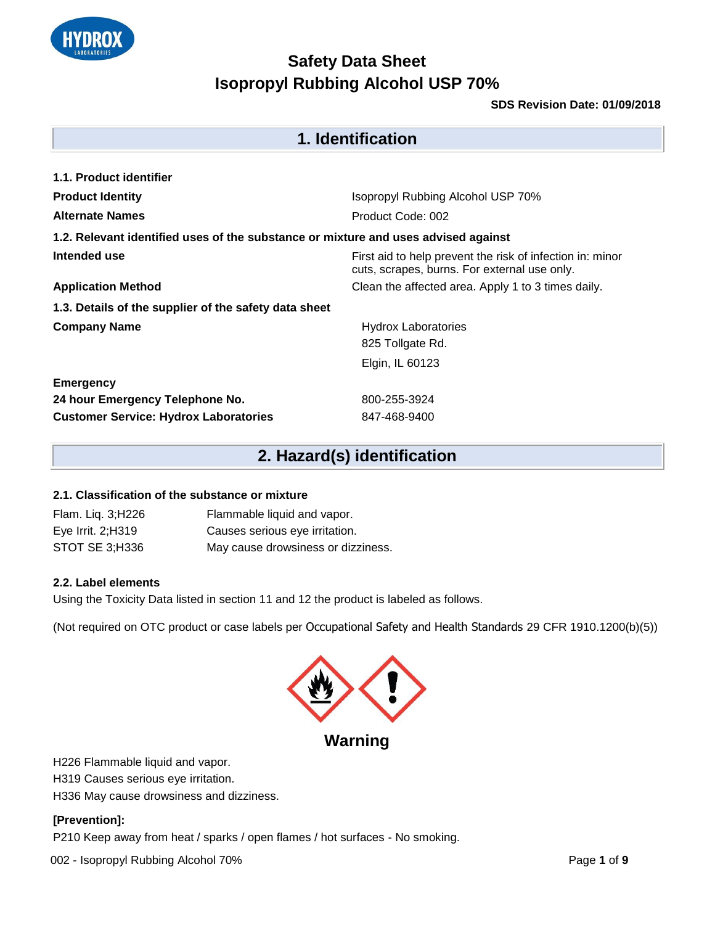

#### **SDS Revision Date: 01/09/2018**

| 1. Identification                                                                  |                                                                                                           |  |  |  |
|------------------------------------------------------------------------------------|-----------------------------------------------------------------------------------------------------------|--|--|--|
| 1.1. Product identifier                                                            |                                                                                                           |  |  |  |
| <b>Product Identity</b>                                                            | Isopropyl Rubbing Alcohol USP 70%                                                                         |  |  |  |
| <b>Alternate Names</b>                                                             | Product Code: 002                                                                                         |  |  |  |
| 1.2. Relevant identified uses of the substance or mixture and uses advised against |                                                                                                           |  |  |  |
| Intended use                                                                       | First aid to help prevent the risk of infection in: minor<br>cuts, scrapes, burns. For external use only. |  |  |  |
| <b>Application Method</b>                                                          | Clean the affected area. Apply 1 to 3 times daily.                                                        |  |  |  |
| 1.3. Details of the supplier of the safety data sheet                              |                                                                                                           |  |  |  |
| <b>Company Name</b>                                                                | <b>Hydrox Laboratories</b>                                                                                |  |  |  |
|                                                                                    | 825 Tollgate Rd.                                                                                          |  |  |  |
|                                                                                    | Elgin, IL 60123                                                                                           |  |  |  |
| <b>Emergency</b>                                                                   |                                                                                                           |  |  |  |
| 24 hour Emergency Telephone No.                                                    | 800-255-3924                                                                                              |  |  |  |
| <b>Customer Service: Hydrox Laboratories</b>                                       | 847-468-9400                                                                                              |  |  |  |

# **2. Hazard(s) identification**

#### **2.1. Classification of the substance or mixture**

| Flam. Liq. 3;H226  | Flammable liquid and vapor.        |
|--------------------|------------------------------------|
| Eye Irrit. 2; H319 | Causes serious eye irritation.     |
| STOT SE 3;H336     | May cause drowsiness or dizziness. |

#### **2.2. Label elements**

Using the Toxicity Data listed in section 11 and 12 the product is labeled as follows.

(Not required on OTC product or case labels per Occupational Safety and Health Standards 29 CFR 1910.1200(b)(5))



**Warning** 

H226 Flammable liquid and vapor.

H319 Causes serious eye irritation.

H336 May cause drowsiness and dizziness.

#### **[Prevention]:**

P210 Keep away from heat / sparks / open flames / hot surfaces - No smoking.

002 - Isopropyl Rubbing Alcohol 70% Page 1 of 9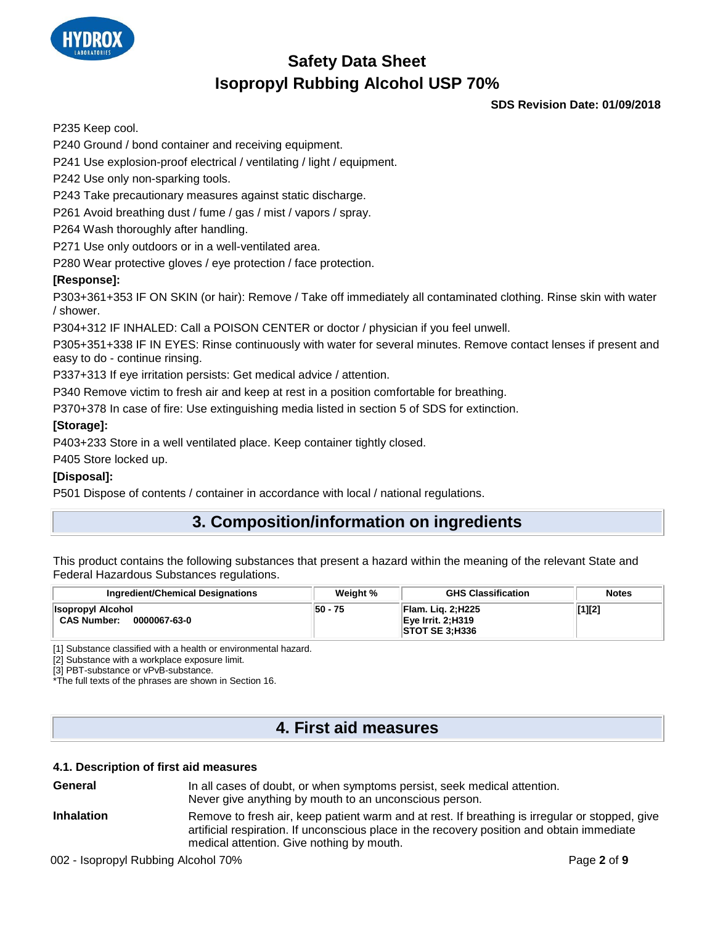

**SDS Revision Date: 01/09/2018**

P235 Keep cool.

P240 Ground / bond container and receiving equipment.

P241 Use explosion-proof electrical / ventilating / light / equipment.

P242 Use only non-sparking tools.

P243 Take precautionary measures against static discharge.

P261 Avoid breathing dust / fume / gas / mist / vapors / spray.

P264 Wash thoroughly after handling.

P271 Use only outdoors or in a well-ventilated area.

P280 Wear protective gloves / eye protection / face protection.

#### **[Response]:**

P303+361+353 IF ON SKIN (or hair): Remove / Take off immediately all contaminated clothing. Rinse skin with water / shower.

P304+312 IF INHALED: Call a POISON CENTER or doctor / physician if you feel unwell.

P305+351+338 IF IN EYES: Rinse continuously with water for several minutes. Remove contact lenses if present and easy to do - continue rinsing.

P337+313 If eye irritation persists: Get medical advice / attention.

P340 Remove victim to fresh air and keep at rest in a position comfortable for breathing.

P370+378 In case of fire: Use extinguishing media listed in section 5 of SDS for extinction.

#### **[Storage]:**

P403+233 Store in a well ventilated place. Keep container tightly closed.

P405 Store locked up.

#### **[Disposal]:**

P501 Dispose of contents / container in accordance with local / national regulations.

## **3. Composition/information on ingredients**

This product contains the following substances that present a hazard within the meaning of the relevant State and Federal Hazardous Substances regulations.

| Ingredient/Chemical Designations                               | Weight % | <b>GHS Classification</b>                                                      | <b>Notes</b> |
|----------------------------------------------------------------|----------|--------------------------------------------------------------------------------|--------------|
| <b>Isopropyl Alcohol</b><br><b>CAS Number:</b><br>0000067-63-0 | 50 - 75  | <b>Flam. Lig. 2; H225</b><br><b>Eye Irrit. 2:H319</b><br><b>STOT SE 3:H336</b> | [1][2]       |

[1] Substance classified with a health or environmental hazard.

[2] Substance with a workplace exposure limit.

[3] PBT-substance or vPvB-substance.

\*The full texts of the phrases are shown in Section 16.

## **4. First aid measures**

#### **4.1. Description of first aid measures**

| General           | In all cases of doubt, or when symptoms persist, seek medical attention.<br>Never give anything by mouth to an unconscious person.                                                                                                        |
|-------------------|-------------------------------------------------------------------------------------------------------------------------------------------------------------------------------------------------------------------------------------------|
| <b>Inhalation</b> | Remove to fresh air, keep patient warm and at rest. If breathing is irregular or stopped, give<br>artificial respiration. If unconscious place in the recovery position and obtain immediate<br>medical attention. Give nothing by mouth. |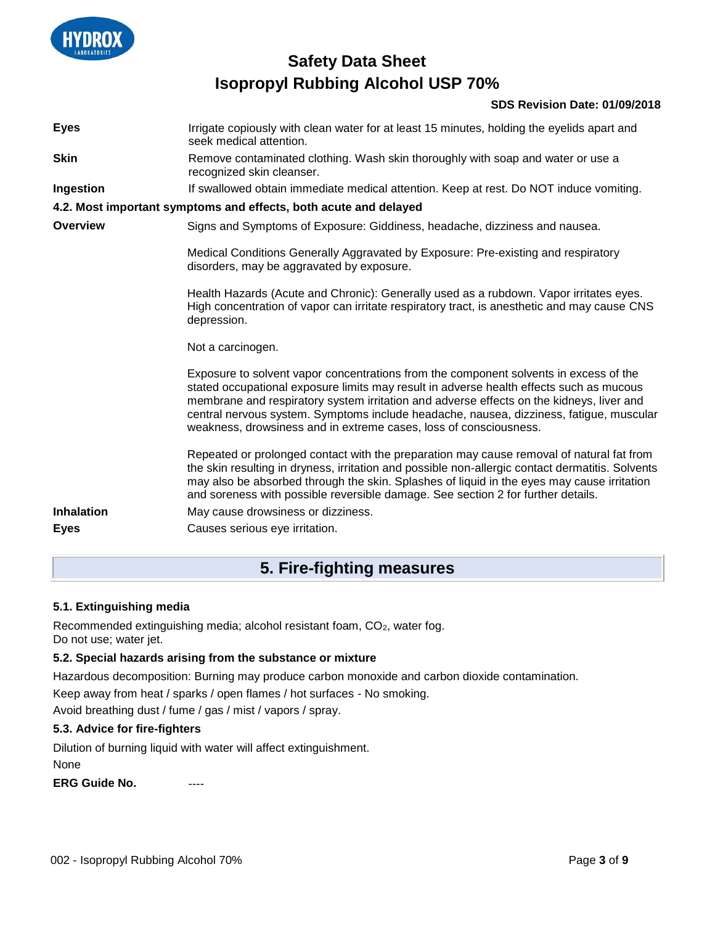

#### **SDS Revision Date: 01/09/2018**

| <b>Eyes</b>                      | Irrigate copiously with clean water for at least 15 minutes, holding the eyelids apart and<br>seek medical attention.                                                                                                                                                                                                                                                                                                                                  |
|----------------------------------|--------------------------------------------------------------------------------------------------------------------------------------------------------------------------------------------------------------------------------------------------------------------------------------------------------------------------------------------------------------------------------------------------------------------------------------------------------|
| <b>Skin</b>                      | Remove contaminated clothing. Wash skin thoroughly with soap and water or use a<br>recognized skin cleanser.                                                                                                                                                                                                                                                                                                                                           |
| Ingestion                        | If swallowed obtain immediate medical attention. Keep at rest. Do NOT induce vomiting.                                                                                                                                                                                                                                                                                                                                                                 |
|                                  | 4.2. Most important symptoms and effects, both acute and delayed                                                                                                                                                                                                                                                                                                                                                                                       |
| Overview                         | Signs and Symptoms of Exposure: Giddiness, headache, dizziness and nausea.                                                                                                                                                                                                                                                                                                                                                                             |
|                                  | Medical Conditions Generally Aggravated by Exposure: Pre-existing and respiratory<br>disorders, may be aggravated by exposure.                                                                                                                                                                                                                                                                                                                         |
|                                  | Health Hazards (Acute and Chronic): Generally used as a rubdown. Vapor irritates eyes.<br>High concentration of vapor can irritate respiratory tract, is anesthetic and may cause CNS<br>depression.                                                                                                                                                                                                                                                   |
|                                  | Not a carcinogen.                                                                                                                                                                                                                                                                                                                                                                                                                                      |
|                                  | Exposure to solvent vapor concentrations from the component solvents in excess of the<br>stated occupational exposure limits may result in adverse health effects such as mucous<br>membrane and respiratory system irritation and adverse effects on the kidneys, liver and<br>central nervous system. Symptoms include headache, nausea, dizziness, fatigue, muscular<br>weakness, drowsiness and in extreme cases, loss of consciousness.           |
| <b>Inhalation</b><br><b>Eyes</b> | Repeated or prolonged contact with the preparation may cause removal of natural fat from<br>the skin resulting in dryness, irritation and possible non-allergic contact dermatitis. Solvents<br>may also be absorbed through the skin. Splashes of liquid in the eyes may cause irritation<br>and soreness with possible reversible damage. See section 2 for further details.<br>May cause drowsiness or dizziness.<br>Causes serious eye irritation. |
|                                  |                                                                                                                                                                                                                                                                                                                                                                                                                                                        |

### **5. Fire-fighting measures**

#### **5.1. Extinguishing media**

Recommended extinguishing media; alcohol resistant foam, CO<sub>2</sub>, water fog. Do not use; water jet.

#### **5.2. Special hazards arising from the substance or mixture**

Hazardous decomposition: Burning may produce carbon monoxide and carbon dioxide contamination. Keep away from heat / sparks / open flames / hot surfaces - No smoking.

Avoid breathing dust / fume / gas / mist / vapors / spray.

#### **5.3. Advice for fire-fighters**

Dilution of burning liquid with water will affect extinguishment.

None

**ERG Guide No.**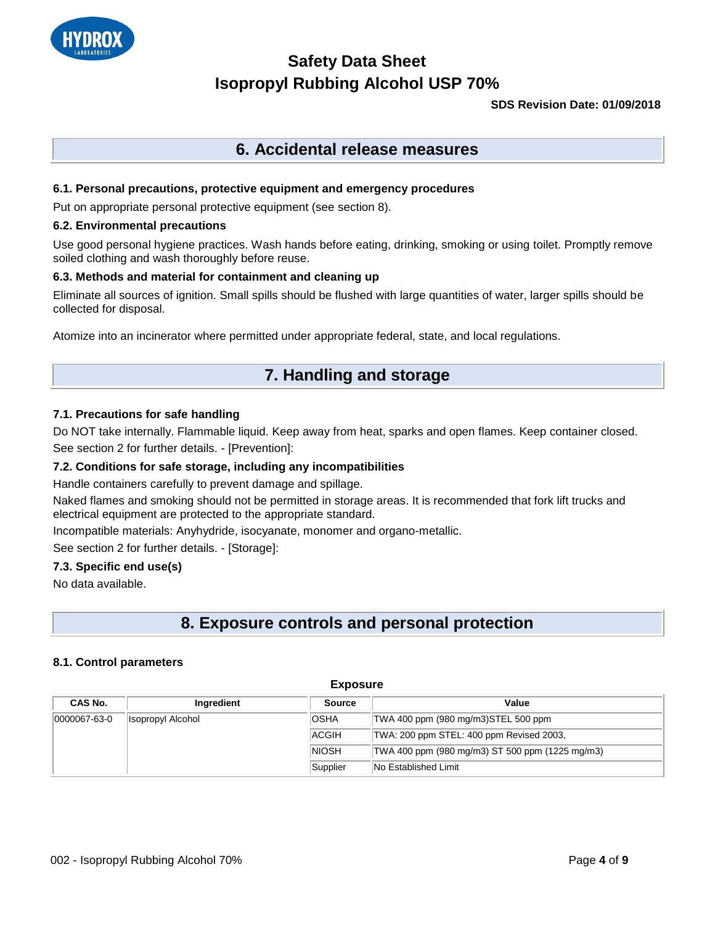

#### **SDS Revision Date: 01/09/2018**

### **6. Accidental release measures**

#### **6.1. Personal precautions, protective equipment and emergency procedures**

Put on appropriate personal protective equipment (see section 8).

#### **6.2. Environmental precautions**

Use good personal hygiene practices. Wash hands before eating, drinking, smoking or using toilet. Promptly remove soiled clothing and wash thoroughly before reuse.

#### **6.3. Methods and material for containment and cleaning up**

Eliminate all sources of ignition. Small spills should be flushed with large quantities of water, larger spills should be collected for disposal.

Atomize into an incinerator where permitted under appropriate federal, state, and local regulations.

### **7. Handling and storage**

#### **7.1. Precautions for safe handling**

Do NOT take internally. Flammable liquid. Keep away from heat, sparks and open flames. Keep container closed. See section 2 for further details. - [Prevention]:

#### **7.2. Conditions for safe storage, including any incompatibilities**

Handle containers carefully to prevent damage and spillage.

Naked flames and smoking should not be permitted in storage areas. It is recommended that fork lift trucks and electrical equipment are protected to the appropriate standard.

Incompatible materials: Anyhydride, isocyanate, monomer and organo-metallic.

See section 2 for further details. - [Storage]:

#### **7.3. Specific end use(s)**

No data available.

### **8. Exposure controls and personal protection**

#### **8.1. Control parameters**

| <b>Exposure</b> |                   |               |                                                 |
|-----------------|-------------------|---------------|-------------------------------------------------|
| CAS No.         | Ingredient        | <b>Source</b> | Value                                           |
| 0000067-63-0    | Isopropyl Alcohol | <b>OSHA</b>   | TWA 400 ppm (980 mg/m3)STEL 500 ppm             |
|                 |                   | <b>ACGIH</b>  | TWA: 200 ppm STEL: 400 ppm Revised 2003,        |
|                 |                   | <b>INIOSH</b> | TWA 400 ppm (980 mg/m3) ST 500 ppm (1225 mg/m3) |
|                 |                   | Supplier      | <b>No Established Limit</b>                     |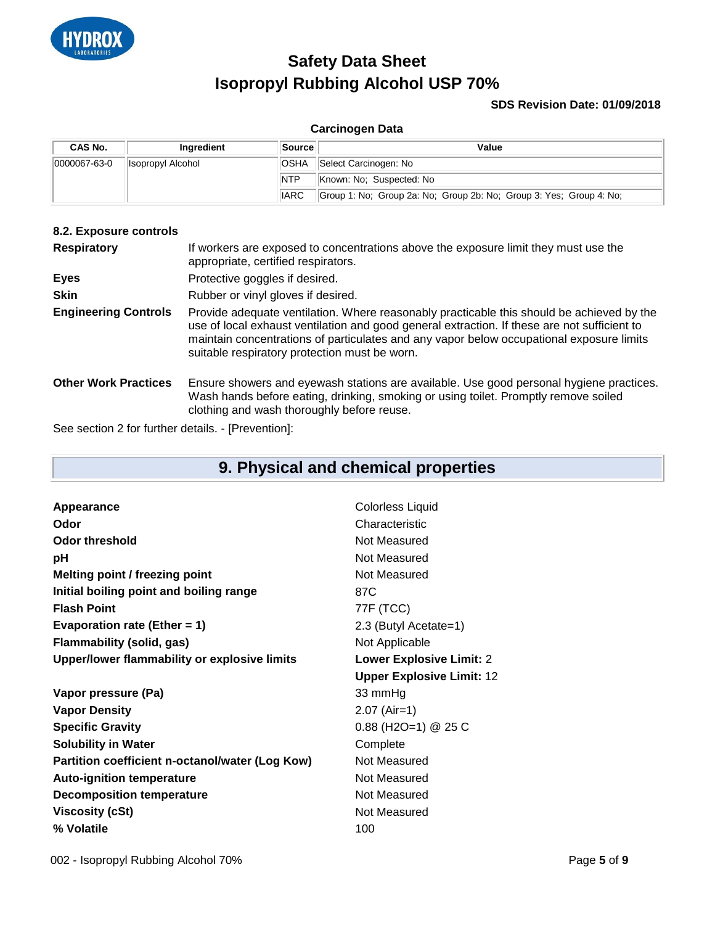

#### **SDS Revision Date: 01/09/2018**

#### **Carcinogen Data**

| <b>CAS No.</b> | Inaredient         | Source      | Value                                                               |
|----------------|--------------------|-------------|---------------------------------------------------------------------|
| 0000067-63-0   | ∥Isopropyl Alcohol | <b>OSHA</b> | Select Carcinogen: No                                               |
|                |                    | <b>NTP</b>  | Known: No: Suspected: No                                            |
|                |                    | <b>IARC</b> | Group 1: No; Group 2a: No; Group 2b: No; Group 3: Yes; Group 4: No; |

#### **8.2. Exposure controls**

| <b>Respiratory</b>          | If workers are exposed to concentrations above the exposure limit they must use the<br>appropriate, certified respirators.                                                                                                                                                                                                             |  |
|-----------------------------|----------------------------------------------------------------------------------------------------------------------------------------------------------------------------------------------------------------------------------------------------------------------------------------------------------------------------------------|--|
| <b>Eyes</b>                 | Protective goggles if desired.                                                                                                                                                                                                                                                                                                         |  |
| <b>Skin</b>                 | Rubber or vinyl gloves if desired.                                                                                                                                                                                                                                                                                                     |  |
| <b>Engineering Controls</b> | Provide adequate ventilation. Where reasonably practicable this should be achieved by the<br>use of local exhaust ventilation and good general extraction. If these are not sufficient to<br>maintain concentrations of particulates and any vapor below occupational exposure limits<br>suitable respiratory protection must be worn. |  |
| <b>Other Work Practices</b> | Ensure showers and eyewash stations are available. Use good personal hygiene practices.<br>Wash hands before eating, drinking, smoking or using toilet. Promptly remove soiled<br>clothing and wash thoroughly before reuse.                                                                                                           |  |

See section 2 for further details. - [Prevention]:

## **9. Physical and chemical properties**

| Appearance                                      | <b>Colorless Liquid</b>          |
|-------------------------------------------------|----------------------------------|
| Odor                                            | Characteristic                   |
| Odor threshold                                  | Not Measured                     |
| рH                                              | Not Measured                     |
| Melting point / freezing point                  | Not Measured                     |
| Initial boiling point and boiling range         | 87C                              |
| <b>Flash Point</b>                              | 77F (TCC)                        |
| Evaporation rate (Ether = 1)                    | 2.3 (Butyl Acetate=1)            |
| Flammability (solid, gas)                       | Not Applicable                   |
| Upper/lower flammability or explosive limits    | <b>Lower Explosive Limit: 2</b>  |
|                                                 |                                  |
|                                                 | <b>Upper Explosive Limit: 12</b> |
| Vapor pressure (Pa)                             | 33 mmHg                          |
| <b>Vapor Density</b>                            | $2.07$ (Air=1)                   |
| <b>Specific Gravity</b>                         | $0.88$ (H2O=1) @ 25 C            |
| <b>Solubility in Water</b>                      | Complete                         |
| Partition coefficient n-octanol/water (Log Kow) | Not Measured                     |
| <b>Auto-ignition temperature</b>                | Not Measured                     |
| <b>Decomposition temperature</b>                | Not Measured                     |
| <b>Viscosity (cSt)</b>                          | Not Measured                     |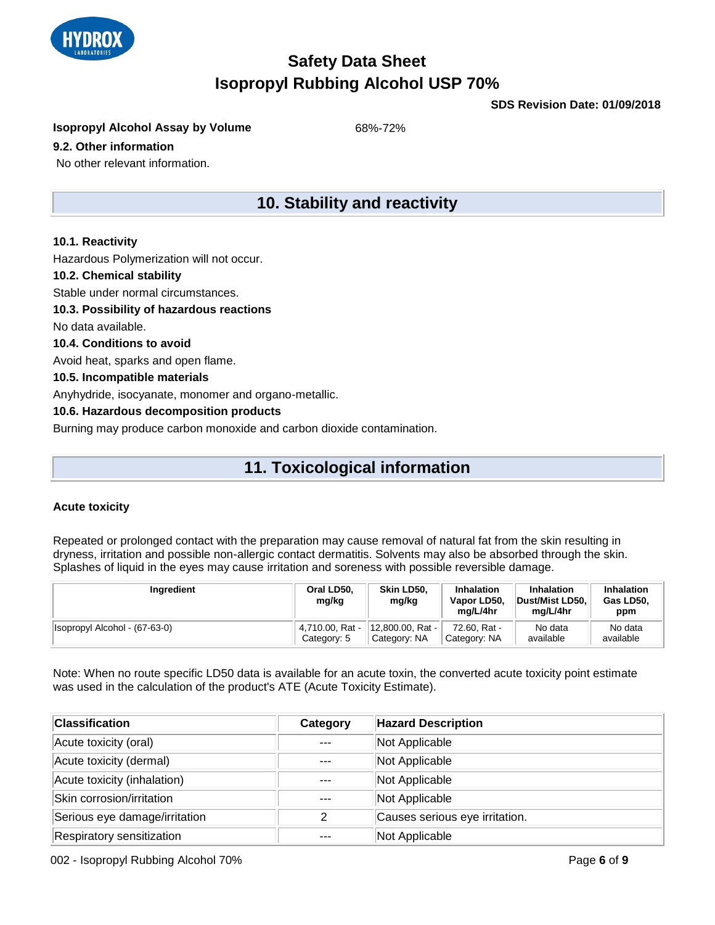

**SDS Revision Date: 01/09/2018**

**Isopropyl Alcohol Assay by Volume** 68%-72%

#### **9.2. Other information**

No other relevant information.

### **10. Stability and reactivity**

#### **10.1. Reactivity**

Hazardous Polymerization will not occur.

#### **10.2. Chemical stability**

Stable under normal circumstances.

#### **10.3. Possibility of hazardous reactions**

No data available.

**10.4. Conditions to avoid**

Avoid heat, sparks and open flame.

#### **10.5. Incompatible materials**

Anyhydride, isocyanate, monomer and organo-metallic.

#### **10.6. Hazardous decomposition products**

Burning may produce carbon monoxide and carbon dioxide contamination.

## **11. Toxicological information**

#### **Acute toxicity**

Repeated or prolonged contact with the preparation may cause removal of natural fat from the skin resulting in dryness, irritation and possible non-allergic contact dermatitis. Solvents may also be absorbed through the skin. Splashes of liquid in the eyes may cause irritation and soreness with possible reversible damage.

| Ingredient                    | Oral LD50,<br>mg/kg | Skin LD50.<br>mg/kg | Inhalation<br>Vapor LD50,<br>ma/L/4hr | <b>Inhalation</b><br>Dust/Mist LD50.<br>mg/L/4hr | <b>Inhalation</b><br>Gas LD50,<br>ppm |
|-------------------------------|---------------------|---------------------|---------------------------------------|--------------------------------------------------|---------------------------------------|
| Isopropyl Alcohol - (67-63-0) | 4,710.00, Rat -     | 12.800.00. Rat -    | 72.60. Rat -                          | No data                                          | No data                               |
|                               | Category: 5         | Category: NA        | Category: NA                          | available                                        | available                             |

Note: When no route specific LD50 data is available for an acute toxin, the converted acute toxicity point estimate was used in the calculation of the product's ATE (Acute Toxicity Estimate).

| <b>Classification</b>         | Category | <b>Hazard Description</b>      |
|-------------------------------|----------|--------------------------------|
| Acute toxicity (oral)         |          | Not Applicable                 |
| Acute toxicity (dermal)       |          | Not Applicable                 |
| Acute toxicity (inhalation)   |          | Not Applicable                 |
| Skin corrosion/irritation     |          | Not Applicable                 |
| Serious eye damage/irritation | っ        | Causes serious eye irritation. |
| Respiratory sensitization     |          | Not Applicable                 |

002 - Isopropyl Rubbing Alcohol 70% Page **6** of **9**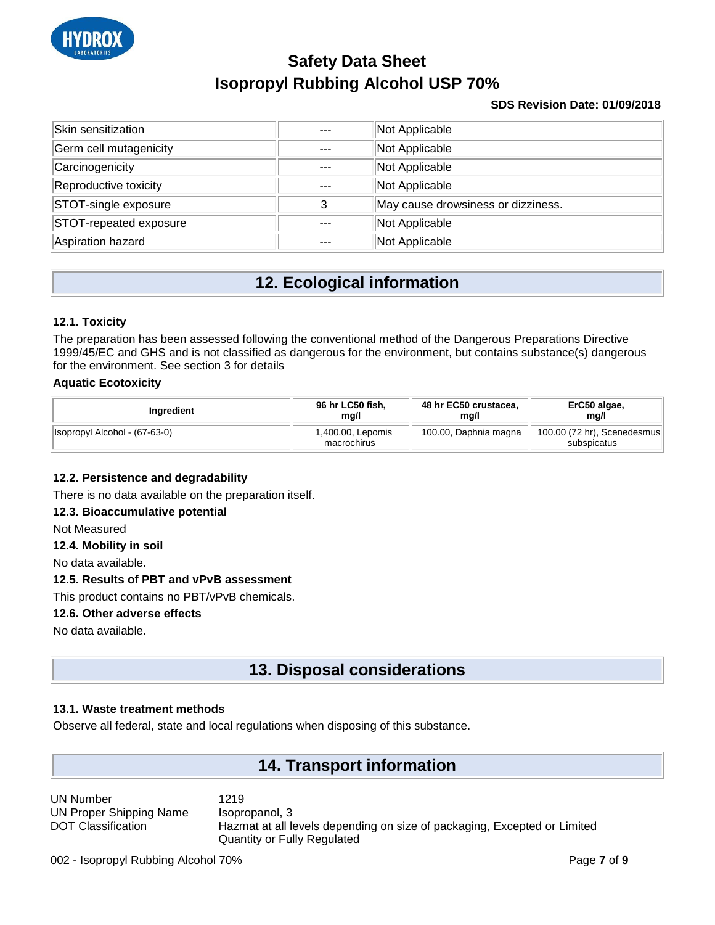

#### **SDS Revision Date: 01/09/2018**

| Skin sensitization     | $- - -$ | Not Applicable                     |
|------------------------|---------|------------------------------------|
| Germ cell mutagenicity | $- - -$ | Not Applicable                     |
| Carcinogenicity        |         | Not Applicable                     |
| Reproductive toxicity  |         | Not Applicable                     |
| STOT-single exposure   |         | May cause drowsiness or dizziness. |
| STOT-repeated exposure |         | Not Applicable                     |
| Aspiration hazard      |         | Not Applicable                     |

## **12. Ecological information**

#### **12.1. Toxicity**

The preparation has been assessed following the conventional method of the Dangerous Preparations Directive 1999/45/EC and GHS and is not classified as dangerous for the environment, but contains substance(s) dangerous for the environment. See section 3 for details

#### **Aquatic Ecotoxicity**

| Ingredient                    | 96 hr LC50 fish,                 | 48 hr EC50 crustacea. | ErC50 algae,                               |
|-------------------------------|----------------------------------|-----------------------|--------------------------------------------|
|                               | mg/l                             | mg/l                  | mg/l                                       |
| Isopropyl Alcohol - (67-63-0) | 1,400.00, Lepomis<br>macrochirus | 100.00, Daphnia magna | 100.00 (72 hr), Scenedesmus<br>subspicatus |

#### **12.2. Persistence and degradability**

There is no data available on the preparation itself.

#### **12.3. Bioaccumulative potential**

Not Measured

#### **12.4. Mobility in soil**

No data available.

#### **12.5. Results of PBT and vPvB assessment**

This product contains no PBT/vPvB chemicals.

#### **12.6. Other adverse effects**

No data available.

## **13. Disposal considerations**

#### **13.1. Waste treatment methods**

Observe all federal, state and local regulations when disposing of this substance.

### **14. Transport information**

UN Number 1219 UN Proper Shipping Name Isopropanol, 3 DOT Classification Hazmat at all levels depending on size of packaging, Excepted or Limited Quantity or Fully Regulated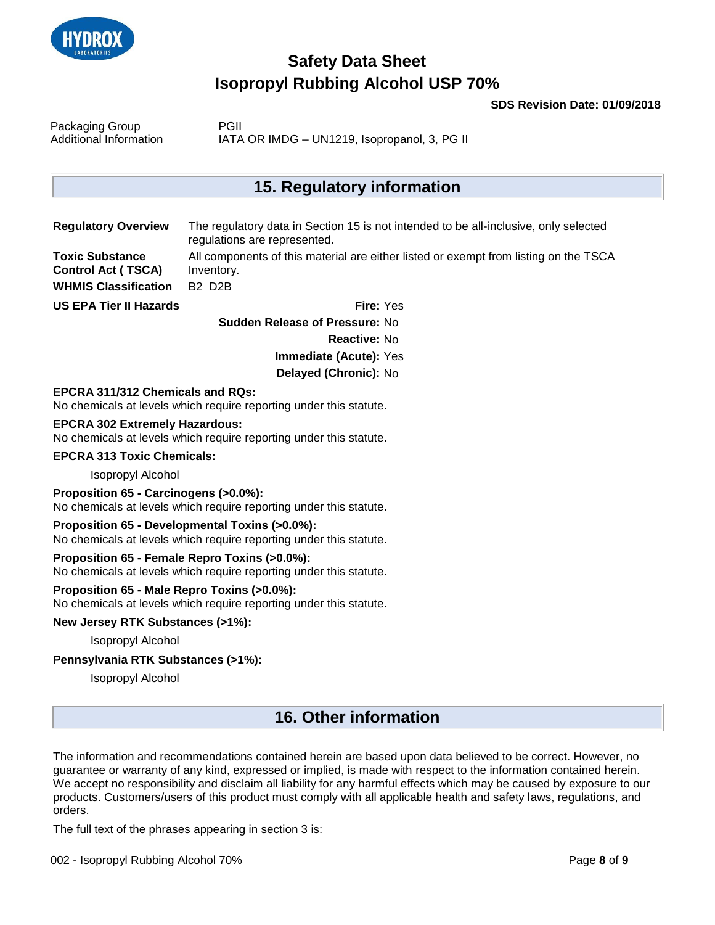

**SDS Revision Date: 01/09/2018**

| Packaging Group        | <b>PGII</b>                                  |
|------------------------|----------------------------------------------|
| Additional Information | IATA OR IMDG - UN1219, Isopropanol, 3, PG II |

### **15. Regulatory information**

| <b>Regulatory Overview</b>  | The regulatory data in Section 15 is not intended to be all-inclusive, only selected<br>regulations are represented. |
|-----------------------------|----------------------------------------------------------------------------------------------------------------------|
| <b>Toxic Substance</b>      | All components of this material are either listed or exempt from listing on the TSCA                                 |
| <b>Control Act (TSCA)</b>   | Inventory.                                                                                                           |
| <b>WHMIS Classification</b> | <b>B2 D2B</b>                                                                                                        |

**US EPA Tier II Hazards Fire:** Yes

**Sudden Release of Pressure:** No **Reactive:** No **Immediate (Acute):** Yes **Delayed (Chronic):** No

#### **EPCRA 311/312 Chemicals and RQs:**

No chemicals at levels which require reporting under this statute.

#### **EPCRA 302 Extremely Hazardous:**

No chemicals at levels which require reporting under this statute.

#### **EPCRA 313 Toxic Chemicals:**

Isopropyl Alcohol

#### **Proposition 65 - Carcinogens (>0.0%):**

No chemicals at levels which require reporting under this statute.

#### **Proposition 65 - Developmental Toxins (>0.0%):**

No chemicals at levels which require reporting under this statute.

#### **Proposition 65 - Female Repro Toxins (>0.0%):**

No chemicals at levels which require reporting under this statute.

#### **Proposition 65 - Male Repro Toxins (>0.0%):**

No chemicals at levels which require reporting under this statute.

#### **New Jersey RTK Substances (>1%):**

Isopropyl Alcohol

#### **Pennsylvania RTK Substances (>1%):**

Isopropyl Alcohol

### **16. Other information**

The information and recommendations contained herein are based upon data believed to be correct. However, no guarantee or warranty of any kind, expressed or implied, is made with respect to the information contained herein. We accept no responsibility and disclaim all liability for any harmful effects which may be caused by exposure to our products. Customers/users of this product must comply with all applicable health and safety laws, regulations, and orders.

The full text of the phrases appearing in section 3 is: